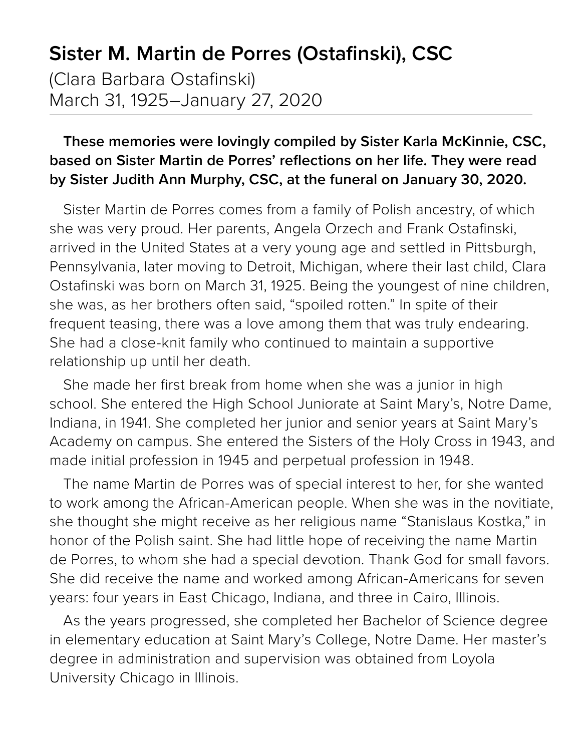## **Sister M. Martin de Porres (Ostafinski), CSC**

(Clara Barbara Ostafinski) March 31, 1925–January 27, 2020

## **These memories were lovingly compiled by Sister Karla McKinnie, CSC, based on Sister Martin de Porres' reflections on her life. They were read by Sister Judith Ann Murphy, CSC, at the funeral on January 30, 2020.**

Sister Martin de Porres comes from a family of Polish ancestry, of which she was very proud. Her parents, Angela Orzech and Frank Ostafinski, arrived in the United States at a very young age and settled in Pittsburgh, Pennsylvania, later moving to Detroit, Michigan, where their last child, Clara Ostafinski was born on March 31, 1925. Being the youngest of nine children, she was, as her brothers often said, "spoiled rotten." In spite of their frequent teasing, there was a love among them that was truly endearing. She had a close-knit family who continued to maintain a supportive relationship up until her death.

She made her first break from home when she was a junior in high school. She entered the High School Juniorate at Saint Mary's, Notre Dame, Indiana, in 1941. She completed her junior and senior years at Saint Mary's Academy on campus. She entered the Sisters of the Holy Cross in 1943, and made initial profession in 1945 and perpetual profession in 1948.

The name Martin de Porres was of special interest to her, for she wanted to work among the African-American people. When she was in the novitiate, she thought she might receive as her religious name "Stanislaus Kostka," in honor of the Polish saint. She had little hope of receiving the name Martin de Porres, to whom she had a special devotion. Thank God for small favors. She did receive the name and worked among African-Americans for seven years: four years in East Chicago, Indiana, and three in Cairo, Illinois.

As the years progressed, she completed her Bachelor of Science degree in elementary education at Saint Mary's College, Notre Dame. Her master's degree in administration and supervision was obtained from Loyola University Chicago in Illinois.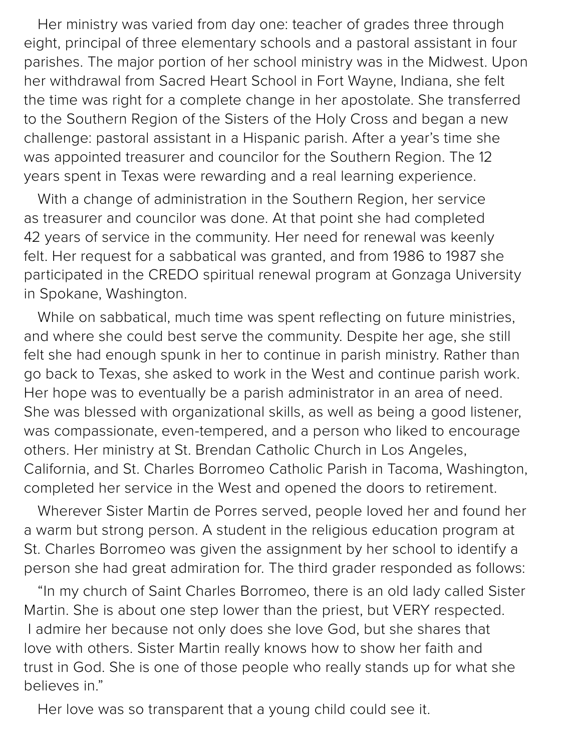Her ministry was varied from day one: teacher of grades three through eight, principal of three elementary schools and a pastoral assistant in four parishes. The major portion of her school ministry was in the Midwest. Upon her withdrawal from Sacred Heart School in Fort Wayne, Indiana, she felt the time was right for a complete change in her apostolate. She transferred to the Southern Region of the Sisters of the Holy Cross and began a new challenge: pastoral assistant in a Hispanic parish. After a year's time she was appointed treasurer and councilor for the Southern Region. The 12 years spent in Texas were rewarding and a real learning experience.

With a change of administration in the Southern Region, her service as treasurer and councilor was done. At that point she had completed 42 years of service in the community. Her need for renewal was keenly felt. Her request for a sabbatical was granted, and from 1986 to 1987 she participated in the CREDO spiritual renewal program at Gonzaga University in Spokane, Washington.

While on sabbatical, much time was spent reflecting on future ministries, and where she could best serve the community. Despite her age, she still felt she had enough spunk in her to continue in parish ministry. Rather than go back to Texas, she asked to work in the West and continue parish work. Her hope was to eventually be a parish administrator in an area of need. She was blessed with organizational skills, as well as being a good listener, was compassionate, even-tempered, and a person who liked to encourage others. Her ministry at St. Brendan Catholic Church in Los Angeles, California, and St. Charles Borromeo Catholic Parish in Tacoma, Washington, completed her service in the West and opened the doors to retirement.

Wherever Sister Martin de Porres served, people loved her and found her a warm but strong person. A student in the religious education program at St. Charles Borromeo was given the assignment by her school to identify a person she had great admiration for. The third grader responded as follows:

"In my church of Saint Charles Borromeo, there is an old lady called Sister Martin. She is about one step lower than the priest, but VERY respected. I admire her because not only does she love God, but she shares that love with others. Sister Martin really knows how to show her faith and trust in God. She is one of those people who really stands up for what she believes in."

Her love was so transparent that a young child could see it.